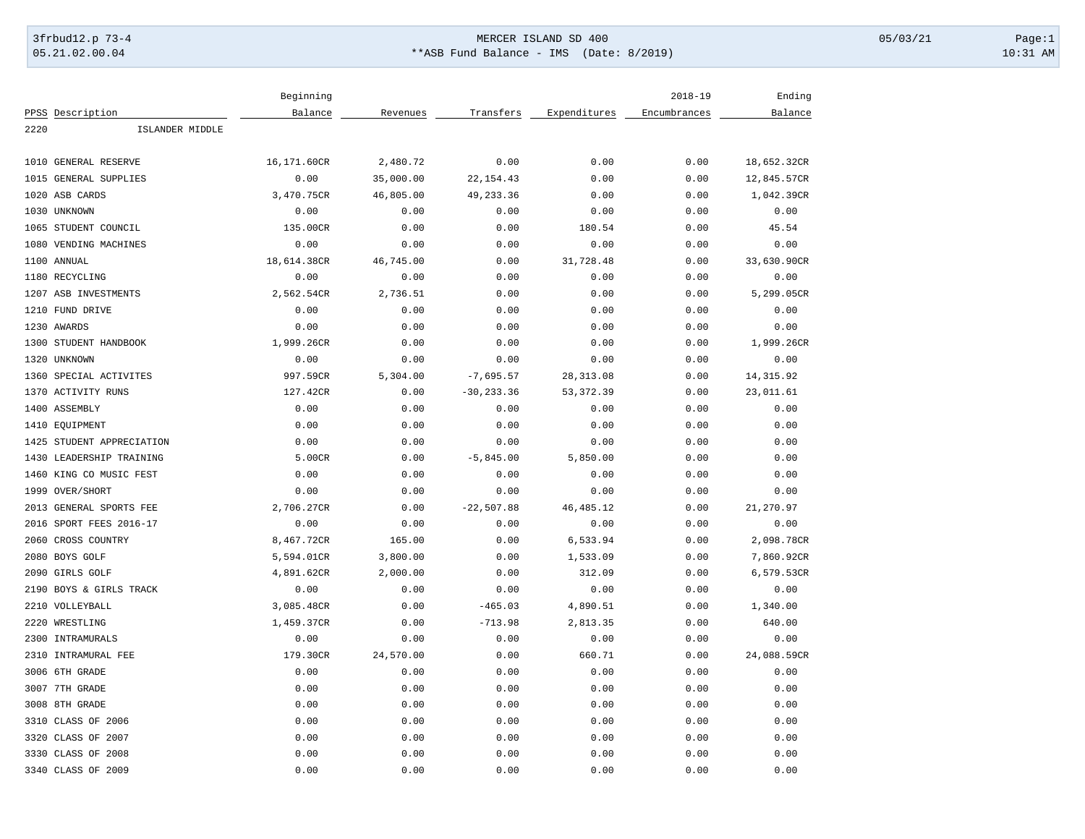## 3frbud12.p 73-4 Page:1 Page:1 05.21.02.00.04 \*\*ASB Fund Balance - IMS (Date: 8/2019) 10:31 AM

|      |                           | Beginning   |           |               |              | $2018 - 19$  | Ending      |
|------|---------------------------|-------------|-----------|---------------|--------------|--------------|-------------|
|      | PPSS Description          | Balance     | Revenues  | Transfers     | Expenditures | Encumbrances | Balance     |
| 2220 | ISLANDER MIDDLE           |             |           |               |              |              |             |
|      |                           |             |           |               |              |              |             |
|      | 1010 GENERAL RESERVE      | 16,171.60CR | 2,480.72  | 0.00          | 0.00         | 0.00         | 18,652.32CR |
|      | 1015 GENERAL SUPPLIES     | 0.00        | 35,000.00 | 22, 154.43    | 0.00         | 0.00         | 12,845.57CR |
|      | 1020 ASB CARDS            | 3,470.75CR  | 46,805.00 | 49, 233.36    | 0.00         | 0.00         | 1,042.39CR  |
|      | 1030 UNKNOWN              | 0.00        | 0.00      | 0.00          | 0.00         | 0.00         | 0.00        |
|      | 1065 STUDENT COUNCIL      | 135.00CR    | 0.00      | 0.00          | 180.54       | 0.00         | 45.54       |
| 1080 | VENDING MACHINES          | 0.00        | 0.00      | 0.00          | 0.00         | 0.00         | 0.00        |
|      | 1100 ANNUAL               | 18,614.38CR | 46,745.00 | 0.00          | 31,728.48    | 0.00         | 33,630.90CR |
|      | 1180 RECYCLING            | 0.00        | 0.00      | 0.00          | 0.00         | 0.00         | 0.00        |
|      | 1207 ASB INVESTMENTS      | 2,562.54CR  | 2,736.51  | 0.00          | 0.00         | 0.00         | 5,299.05CR  |
|      | 1210 FUND DRIVE           | 0.00        | 0.00      | 0.00          | 0.00         | 0.00         | 0.00        |
|      | 1230 AWARDS               | 0.00        | 0.00      | 0.00          | 0.00         | 0.00         | 0.00        |
|      | 1300 STUDENT HANDBOOK     | 1,999.26CR  | 0.00      | 0.00          | 0.00         | 0.00         | 1,999.26CR  |
|      | 1320 UNKNOWN              | 0.00        | 0.00      | 0.00          | 0.00         | 0.00         | 0.00        |
|      | 1360 SPECIAL ACTIVITES    | 997.59CR    | 5,304.00  | $-7,695.57$   | 28, 313.08   | 0.00         | 14, 315.92  |
|      | 1370 ACTIVITY RUNS        | 127.42CR    | 0.00      | $-30, 233.36$ | 53, 372.39   | 0.00         | 23,011.61   |
|      | 1400 ASSEMBLY             | 0.00        | 0.00      | 0.00          | 0.00         | 0.00         | 0.00        |
|      | 1410 EQUIPMENT            | 0.00        | 0.00      | 0.00          | 0.00         | 0.00         | 0.00        |
|      | 1425 STUDENT APPRECIATION | 0.00        | 0.00      | 0.00          | 0.00         | 0.00         | 0.00        |
|      | 1430 LEADERSHIP TRAINING  | 5.00CR      | 0.00      | $-5,845.00$   | 5,850.00     | 0.00         | 0.00        |
|      | 1460 KING CO MUSIC FEST   | 0.00        | 0.00      | 0.00          | 0.00         | 0.00         | 0.00        |
|      | 1999 OVER/SHORT           | 0.00        | 0.00      | 0.00          | 0.00         | 0.00         | 0.00        |
|      | 2013 GENERAL SPORTS FEE   | 2,706.27CR  | 0.00      | $-22,507.88$  | 46, 485.12   | 0.00         | 21,270.97   |
|      | 2016 SPORT FEES 2016-17   | 0.00        | 0.00      | 0.00          | 0.00         | 0.00         | 0.00        |
|      | 2060 CROSS COUNTRY        | 8,467.72CR  | 165.00    | 0.00          | 6,533.94     | 0.00         | 2,098.78CR  |
|      | 2080 BOYS GOLF            | 5,594.01CR  | 3,800.00  | 0.00          | 1,533.09     | 0.00         | 7,860.92CR  |
|      | 2090 GIRLS GOLF           | 4,891.62CR  | 2,000.00  | 0.00          | 312.09       | 0.00         | 6,579.53CR  |
|      | 2190 BOYS & GIRLS TRACK   | 0.00        | 0.00      | 0.00          | 0.00         | 0.00         | 0.00        |
|      | 2210 VOLLEYBALL           | 3,085.48CR  | 0.00      | $-465.03$     | 4,890.51     | 0.00         | 1,340.00    |
|      | 2220 WRESTLING            | 1,459.37CR  | 0.00      | $-713.98$     | 2,813.35     | 0.00         | 640.00      |
| 2300 | INTRAMURALS               | 0.00        | 0.00      | 0.00          | 0.00         | 0.00         | 0.00        |
|      | 2310 INTRAMURAL FEE       | 179.30CR    | 24,570.00 | 0.00          | 660.71       | 0.00         | 24,088.59CR |
|      | 3006 6TH GRADE            | 0.00        | 0.00      | 0.00          | 0.00         | 0.00         | 0.00        |
|      | 3007 7TH GRADE            | 0.00        | 0.00      | 0.00          | 0.00         | 0.00         | 0.00        |
|      | 3008 8TH GRADE            | 0.00        | 0.00      | 0.00          | 0.00         | 0.00         | 0.00        |
|      | 3310 CLASS OF 2006        | 0.00        | 0.00      | 0.00          | 0.00         | 0.00         | 0.00        |
|      | 3320 CLASS OF 2007        | 0.00        | 0.00      | 0.00          | 0.00         | 0.00         | 0.00        |
|      | 3330 CLASS OF 2008        | 0.00        | 0.00      | 0.00          | 0.00         | 0.00         | 0.00        |
|      |                           |             |           | 0.00          |              | 0.00         | 0.00        |
|      | 3340 CLASS OF 2009        | 0.00        | 0.00      |               | 0.00         |              |             |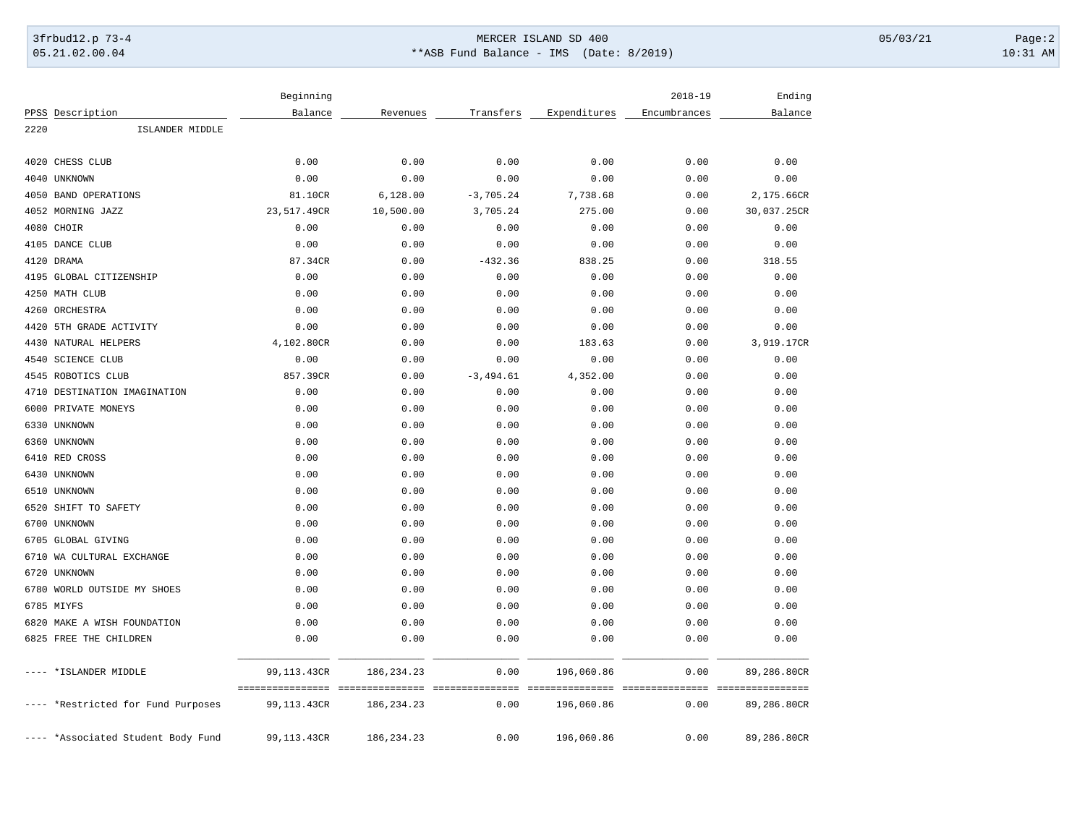## 3frbud12.p 73-4 Page:2 05.21.02.00.04 \*\*ASB Fund Balance - IMS (Date: 8/2019) 10:31 AM

|      |                                    | Beginning                       |                                 |                         |                               | $2018 - 19$              | Ending                          |
|------|------------------------------------|---------------------------------|---------------------------------|-------------------------|-------------------------------|--------------------------|---------------------------------|
|      | PPSS Description                   | Balance                         | Revenues                        | Transfers               | Expenditures                  | Encumbrances             | Balance                         |
| 2220 | ISLANDER MIDDLE                    |                                 |                                 |                         |                               |                          |                                 |
|      | 4020 CHESS CLUB                    | 0.00                            | 0.00                            | 0.00                    | 0.00                          | 0.00                     | 0.00                            |
|      | 4040 UNKNOWN                       | 0.00                            | 0.00                            | 0.00                    | 0.00                          | 0.00                     | 0.00                            |
|      | 4050 BAND OPERATIONS               | 81.10CR                         | 6,128.00                        | $-3,705.24$             | 7,738.68                      | 0.00                     | 2,175.66CR                      |
|      | 4052 MORNING JAZZ                  | 23,517.49CR                     | 10,500.00                       | 3,705.24                | 275.00                        | 0.00                     | 30,037.25CR                     |
|      | 4080 CHOIR                         | 0.00                            | 0.00                            | 0.00                    | 0.00                          | 0.00                     | 0.00                            |
|      | 4105 DANCE CLUB                    | 0.00                            | 0.00                            | 0.00                    | 0.00                          | 0.00                     | 0.00                            |
|      | 4120 DRAMA                         | 87.34CR                         | 0.00                            | $-432.36$               | 838.25                        | 0.00                     | 318.55                          |
|      | 4195 GLOBAL CITIZENSHIP            | 0.00                            | 0.00                            | 0.00                    | 0.00                          | 0.00                     | 0.00                            |
|      | 4250 MATH CLUB                     | 0.00                            | 0.00                            | 0.00                    | 0.00                          | 0.00                     | 0.00                            |
|      | 4260 ORCHESTRA                     | 0.00                            | 0.00                            | 0.00                    | 0.00                          | 0.00                     | 0.00                            |
|      | 4420 5TH GRADE ACTIVITY            | 0.00                            | 0.00                            | 0.00                    | 0.00                          | 0.00                     | 0.00                            |
|      | 4430 NATURAL HELPERS               | 4,102.80CR                      | 0.00                            | 0.00                    | 183.63                        | 0.00                     | 3,919.17CR                      |
|      | 4540 SCIENCE CLUB                  | 0.00                            | 0.00                            | 0.00                    | 0.00                          | 0.00                     | 0.00                            |
|      | 4545 ROBOTICS CLUB                 | 857.39CR                        | 0.00                            | $-3,494.61$             | 4,352.00                      | 0.00                     | 0.00                            |
|      | 4710 DESTINATION IMAGINATION       | 0.00                            | 0.00                            | 0.00                    | 0.00                          | 0.00                     | 0.00                            |
|      | 6000 PRIVATE MONEYS                | 0.00                            | 0.00                            | 0.00                    | 0.00                          | 0.00                     | 0.00                            |
|      | 6330 UNKNOWN                       | 0.00                            | 0.00                            | 0.00                    | 0.00                          | 0.00                     | 0.00                            |
|      | 6360 UNKNOWN                       | 0.00                            | 0.00                            | 0.00                    | 0.00                          | 0.00                     | 0.00                            |
|      | 6410 RED CROSS                     | 0.00                            | 0.00                            | 0.00                    | 0.00                          | 0.00                     | 0.00                            |
|      | 6430 UNKNOWN                       | 0.00                            | 0.00                            | 0.00                    | 0.00                          | 0.00                     | 0.00                            |
|      | 6510 UNKNOWN                       | 0.00                            | 0.00                            | 0.00                    | 0.00                          | 0.00                     | 0.00                            |
| 6520 | SHIFT TO SAFETY                    | 0.00                            | 0.00                            | 0.00                    | 0.00                          | 0.00                     | 0.00                            |
|      | 6700 UNKNOWN                       | 0.00                            | 0.00                            | 0.00                    | 0.00                          | 0.00                     | 0.00                            |
|      | 6705 GLOBAL GIVING                 | 0.00                            | 0.00                            | 0.00                    | 0.00                          | 0.00                     | 0.00                            |
|      | 6710 WA CULTURAL EXCHANGE          | 0.00                            | 0.00                            | 0.00                    | 0.00                          | 0.00                     | 0.00                            |
|      | 6720 UNKNOWN                       | 0.00                            | 0.00                            | 0.00                    | 0.00                          | 0.00                     | 0.00                            |
|      | 6780 WORLD OUTSIDE MY SHOES        | 0.00                            | 0.00                            | 0.00                    | 0.00                          | 0.00                     | 0.00                            |
|      | 6785 MIYFS                         | 0.00                            | 0.00                            | 0.00                    | 0.00                          | 0.00                     | 0.00                            |
|      | 6820 MAKE A WISH FOUNDATION        | 0.00                            | 0.00                            | 0.00                    | 0.00                          | 0.00                     | 0.00                            |
|      | 6825 FREE THE CHILDREN             | 0.00                            | 0.00                            | 0.00                    | 0.00                          | 0.00                     | 0.00                            |
|      | ---- *ISLANDER MIDDLE              | 99,113.43CR                     | 186, 234. 23                    | 0.00                    | 196,060.86                    | 0.00                     | 89,286.80CR                     |
|      | ---- *Restricted for Fund Purposes | ================<br>99,113.43CR | ---------------<br>186, 234. 23 | ===============<br>0.00 | ===============<br>196,060.86 | ----------------<br>0.00 | ================<br>89,286.80CR |
|      | ---- *Associated Student Body Fund | 99,113.43CR                     | 186, 234. 23                    | 0.00                    | 196,060.86                    | 0.00                     | 89,286.80CR                     |